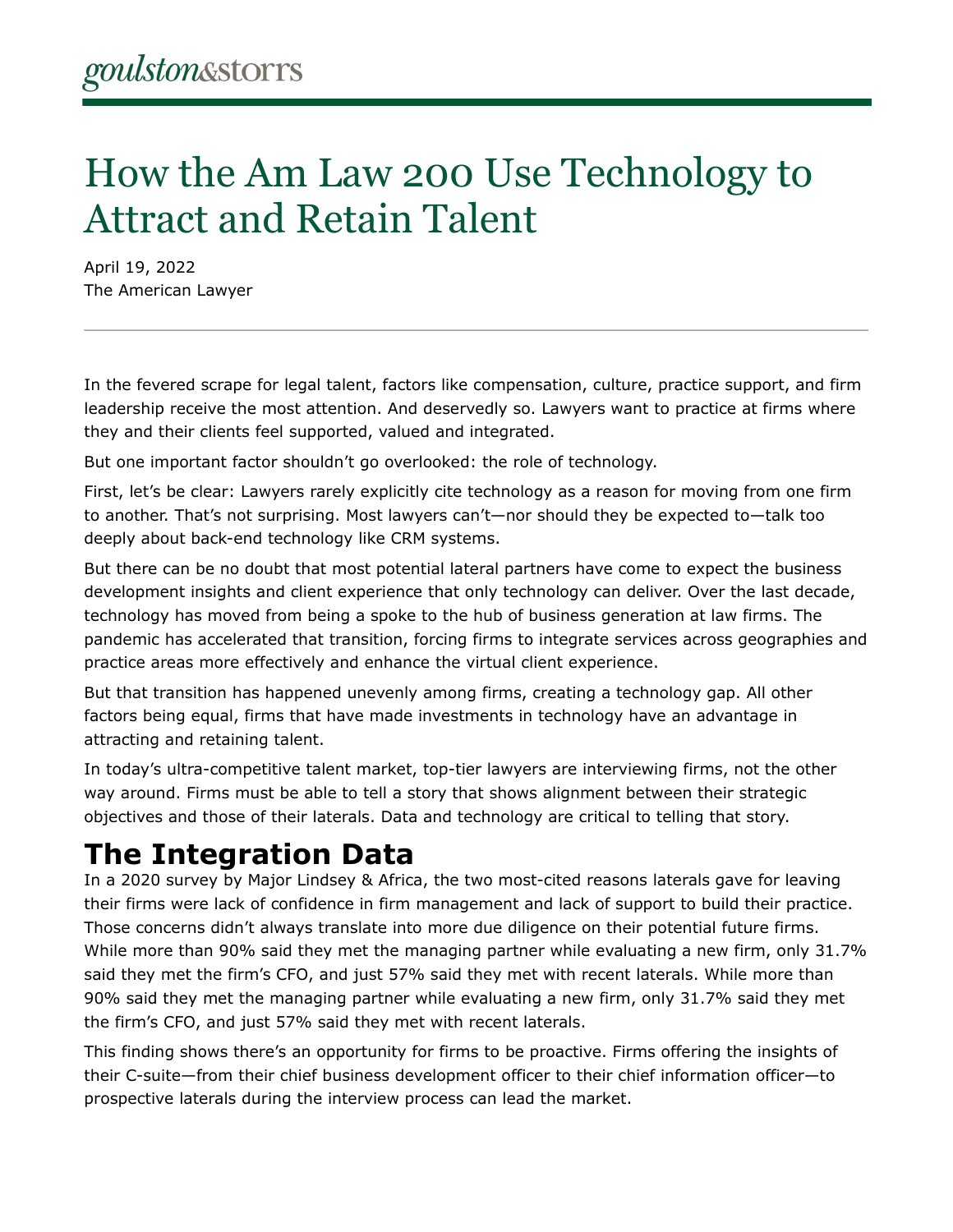## How the Am Law 200 Use Technology to Attract and Retain Talent

April 19, 2022 The American Lawyer

In the fevered scrape for legal talent, factors like compensation, culture, practice support, and firm leadership receive the most attention. And deservedly so. Lawyers want to practice at firms where they and their clients feel supported, valued and integrated.

But one important factor shouldn't go overlooked: the role of technology.

First, let's be clear: Lawyers rarely explicitly cite technology as a reason for moving from one firm to another. That's not surprising. Most lawyers can't—nor should they be expected to—talk too deeply about back-end technology like CRM systems.

But there can be no doubt that most potential lateral partners have come to expect the business development insights and client experience that only technology can deliver. Over the last decade, technology has moved from being a spoke to the hub of business generation at law firms. The pandemic has accelerated that transition, forcing firms to integrate services across geographies and practice areas more effectively and enhance the virtual client experience.

But that transition has happened unevenly among firms, creating a technology gap. All other factors being equal, firms that have made investments in technology have an advantage in attracting and retaining talent.

In today's ultra-competitive talent market, top-tier lawyers are interviewing firms, not the other way around. Firms must be able to tell a story that shows alignment between their strategic objectives and those of their laterals. Data and technology are critical to telling that story.

## **The Integration Data**

In a 2020 survey by Major Lindsey & Africa, the two most-cited reasons laterals gave for leaving their firms were lack of confidence in firm management and lack of support to build their practice. Those concerns didn't always translate into more due diligence on their potential future firms. While more than 90% said they met the managing partner while evaluating a new firm, only 31.7% said they met the firm's CFO, and just 57% said they met with recent laterals. While more than 90% said they met the managing partner while evaluating a new firm, only 31.7% said they met the firm's CFO, and just 57% said they met with recent laterals.

This finding shows there's an opportunity for firms to be proactive. Firms offering the insights of their C-suite—from their chief business development officer to their chief information officer—to prospective laterals during the interview process can lead the market.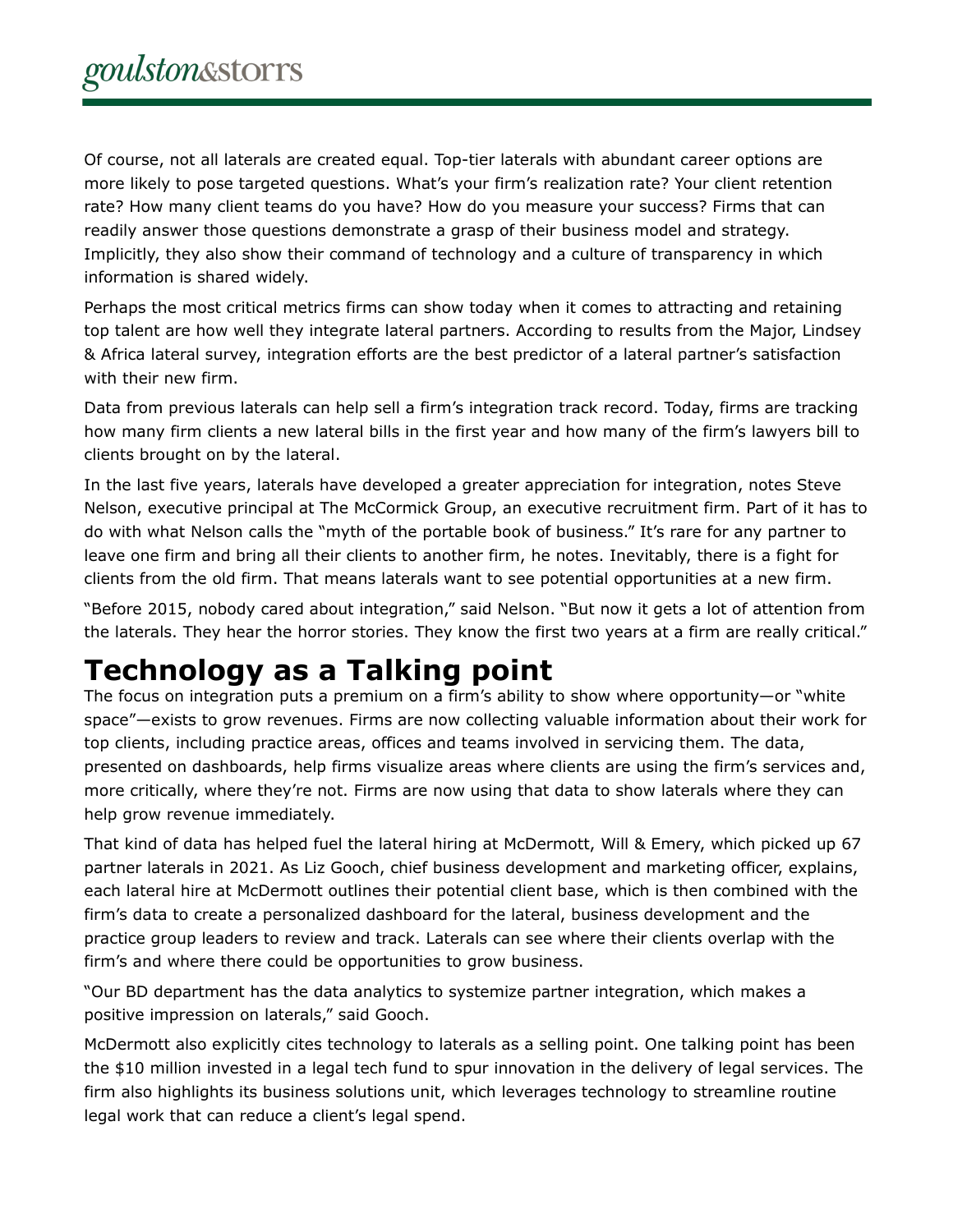Of course, not all laterals are created equal. Top-tier laterals with abundant career options are more likely to pose targeted questions. What's your firm's realization rate? Your client retention rate? How many client teams do you have? How do you measure your success? Firms that can readily answer those questions demonstrate a grasp of their business model and strategy. Implicitly, they also show their command of technology and a culture of transparency in which information is shared widely.

Perhaps the most critical metrics firms can show today when it comes to attracting and retaining top talent are how well they integrate lateral partners. According to results from the Major, Lindsey & Africa lateral survey, integration efforts are the best predictor of a lateral partner's satisfaction with their new firm.

Data from previous laterals can help sell a firm's integration track record. Today, firms are tracking how many firm clients a new lateral bills in the first year and how many of the firm's lawyers bill to clients brought on by the lateral.

In the last five years, laterals have developed a greater appreciation for integration, notes Steve Nelson, executive principal at The McCormick Group, an executive recruitment firm. Part of it has to do with what Nelson calls the "myth of the portable book of business." It's rare for any partner to leave one firm and bring all their clients to another firm, he notes. Inevitably, there is a fight for clients from the old firm. That means laterals want to see potential opportunities at a new firm.

"Before 2015, nobody cared about integration," said Nelson. "But now it gets a lot of attention from the laterals. They hear the horror stories. They know the first two years at a firm are really critical."

## **Technology as a Talking point**

The focus on integration puts a premium on a firm's ability to show where opportunity—or "white space"—exists to grow revenues. Firms are now collecting valuable information about their work for top clients, including practice areas, offices and teams involved in servicing them. The data, presented on dashboards, help firms visualize areas where clients are using the firm's services and, more critically, where they're not. Firms are now using that data to show laterals where they can help grow revenue immediately.

That kind of data has helped fuel the lateral hiring at McDermott, Will & Emery, which picked up 67 partner laterals in 2021. As Liz Gooch, chief business development and marketing officer, explains, each lateral hire at McDermott outlines their potential client base, which is then combined with the firm's data to create a personalized dashboard for the lateral, business development and the practice group leaders to review and track. Laterals can see where their clients overlap with the firm's and where there could be opportunities to grow business.

"Our BD department has the data analytics to systemize partner integration, which makes a positive impression on laterals," said Gooch.

McDermott also explicitly cites technology to laterals as a selling point. One talking point has been the \$10 million invested in a legal tech fund to spur innovation in the delivery of legal services. The firm also highlights its business solutions unit, which leverages technology to streamline routine legal work that can reduce a client's legal spend.